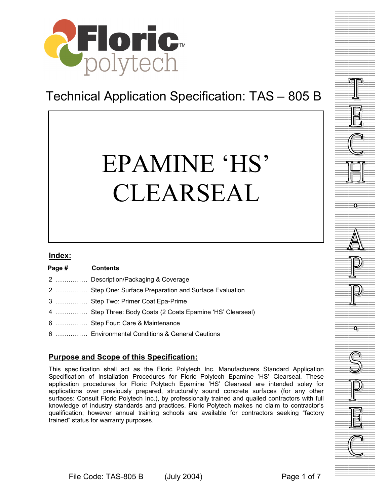

# Technical Application Specification: TAS – 805 B

# EPAMINE 'HS' CLEARSEAL

#### **Index:**

| Page # |  | <b>Contents</b>                                            |  |
|--------|--|------------------------------------------------------------|--|
|        |  | 2  Description/Packaging & Coverage                        |  |
|        |  | 2  Step One: Surface Preparation and Surface Evaluation    |  |
|        |  | 3  Step Two: Primer Coat Epa-Prime                         |  |
|        |  | 4  Step Three: Body Coats (2 Coats Epamine 'HS' Clearseal) |  |
|        |  | 6  Step Four: Care & Maintenance                           |  |
|        |  | 6  Environmental Conditions & General Cautions             |  |

# **Purpose and Scope of this Specification:**

This specification shall act as the Floric Polytech Inc. Manufacturers Standard Application Specification of Installation Procedures for Floric Polytech Epamine 'HS' Clearseal. These application procedures for Floric Polytech Epamine 'HS' Clearseal are intended soley for applications over previously prepared, structurally sound concrete surfaces (for any other surfaces: Consult Floric Polytech Inc.), by professionally trained and quailed contractors with full knowledge of industry standards and practices. Floric Polytech makes no claim to contractor's qualification; however annual training schools are available for contractors seeking "factory trained" status for warranty purposes.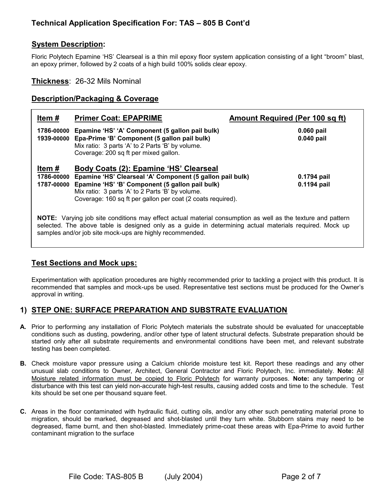#### **System Description:**

Floric Polytech Epamine 'HS' Clearseal is a thin mil epoxy floor system application consisting of a light "broom" blast, an epoxy primer, followed by 2 coats of a high build 100% solids clear epoxy.

#### **Thickness**: 26-32 Mils Nominal

#### **Description/Packaging & Coverage**

| Item#                                                                                                                                                                                                                  | <b>Primer Coat: EPAPRIME</b>                                                                                                                                                                                                                                              | Amount Required (Per 100 sq ft) |  |  |  |  |
|------------------------------------------------------------------------------------------------------------------------------------------------------------------------------------------------------------------------|---------------------------------------------------------------------------------------------------------------------------------------------------------------------------------------------------------------------------------------------------------------------------|---------------------------------|--|--|--|--|
| 1786-00000<br>1939-00000                                                                                                                                                                                               | Epamine 'HS' 'A' Component (5 gallon pail bulk)<br>Epa-Prime 'B' Component (5 gallon pail bulk)<br>Mix ratio: 3 parts 'A' to 2 Parts 'B' by volume.<br>Coverage: 200 sq ft per mixed gallon.                                                                              | 0.060 pail<br>$0.040$ pail      |  |  |  |  |
| Item#<br>1786-00000<br>1787-00000                                                                                                                                                                                      | Body Coats (2): Epamine 'HS' Clearseal<br>Epamine 'HS' Clearseal 'A' Component (5 gallon pail bulk)<br>Epamine 'HS' 'B' Component (5 gallon pail bulk)<br>Mix ratio: 3 parts 'A' to 2 Parts 'B' by volume.<br>Coverage: 160 sq ft per gallon per coat (2 coats required). | 0.1794 pail<br>0.1194 pail      |  |  |  |  |
| NOTE: Varying job site conditions may effect actual material consumption as well as the texture and pattern<br>selected. The above table is designed only as a quide in determining actual materials required. Mock up |                                                                                                                                                                                                                                                                           |                                 |  |  |  |  |

selected. The above table is designed only as a guide in determining actual materials required. Mock up samples and/or job site mock-ups are highly recommended.

#### **Test Sections and Mock ups:**

Experimentation with application procedures are highly recommended prior to tackling a project with this product. It is recommended that samples and mock-ups be used. Representative test sections must be produced for the Owner's approval in writing.

#### **1) STEP ONE: SURFACE PREPARATION AND SUBSTRATE EVALUATION**

- **A.** Prior to performing any installation of Floric Polytech materials the substrate should be evaluated for unacceptable conditions such as dusting, powdering, and/or other type of latent structural defects. Substrate preparation should be started only after all substrate requirements and environmental conditions have been met, and relevant substrate testing has been completed.
- **B.** Check moisture vapor pressure using a Calcium chloride moisture test kit. Report these readings and any other unusual slab conditions to Owner, Architect, General Contractor and Floric Polytech, Inc. immediately. **Note:** All Moisture related information must be copied to Floric Polytech for warranty purposes. **Note:** any tampering or disturbance with this test can yield non-accurate high-test results, causing added costs and time to the schedule. Test kits should be set one per thousand square feet.
- **C.** Areas in the floor contaminated with hydraulic fluid, cutting oils, and/or any other such penetrating material prone to migration, should be marked, degreased and shot-blasted until they turn white. Stubborn stains may need to be degreased, flame burnt, and then shot-blasted. Immediately prime-coat these areas with Epa-Prime to avoid further contaminant migration to the surface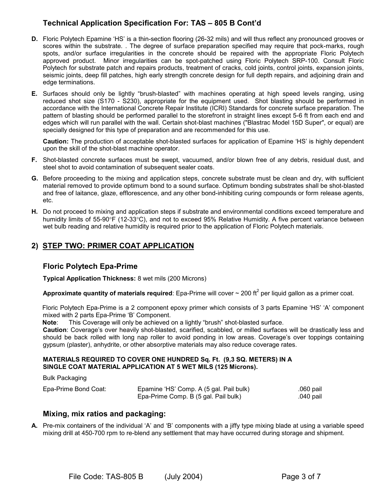- **D.** Floric Polytech Epamine 'HS' is a thin-section flooring (26-32 mils) and will thus reflect any pronounced grooves or scores within the substrate. . The degree of surface preparation specified may require that pock-marks, rough spots, and/or surface irregularities in the concrete should be repaired with the appropriate Floric Polytech approved product. Minor irregularities can be spot-patched using Floric Polytech SRP-100. Consult Floric Polytech for substrate patch and repairs products, treatment of cracks, cold joints, control joints, expansion joints, seismic joints, deep fill patches, high early strength concrete design for full depth repairs, and adjoining drain and edge terminations.
- **E.** Surfaces should only be lightly "brush-blasted" with machines operating at high speed levels ranging, using reduced shot size (S170 - S230), appropriate for the equipment used. Shot blasting should be performed in accordance with the International Concrete Repair Institute (ICRI) Standards for concrete surface preparation. The pattern of blasting should be performed parallel to the storefront in straight lines except 5-6 ft from each end and edges which will run parallel with the wall. Certain shot-blast machines ("Blastrac Model 15D Super", or equal) are specially designed for this type of preparation and are recommended for this use.

**Caution:** The production of acceptable shot-blasted surfaces for application of Epamine 'HS' is highly dependent upon the skill of the shot-blast machine operator.

- **F.** Shot-blasted concrete surfaces must be swept, vacuumed, and/or blown free of any debris, residual dust, and steel shot to avoid contamination of subsequent sealer coats.
- **G.** Before proceeding to the mixing and application steps, concrete substrate must be clean and dry, with sufficient material removed to provide optimum bond to a sound surface. Optimum bonding substrates shall be shot-blasted and free of laitance, glaze, efflorescence, and any other bond-inhibiting curing compounds or form release agents, etc.
- **H.** Do not proceed to mixing and application steps if substrate and environmental conditions exceed temperature and humidity limits of 55-90°F (12-33°C), and not to exceed 95% Relative Humidity. A five percent variance between wet bulb reading and relative humidity is required prior to the application of Floric Polytech materials.

### **2) STEP TWO: PRIMER COAT APPLICATION**

#### **Floric Polytech Epa-Prime**

**Typical Application Thickness:** 8 wet mils (200 Microns)

**Approximate quantity of materials required**: Epa-Prime will cover  $\sim$  200 ft<sup>2</sup> per liquid gallon as a primer coat.

Floric Polytech Epa-Prime is a 2 component epoxy primer which consists of 3 parts Epamine 'HS' 'A' component mixed with 2 parts Epa-Prime 'B' Component.

**Note**: This Coverage will only be achieved on a lightly "brush" shot-blasted surface.

**Caution**: Coverage's over heavily shot-blasted, scarified, scabbled, or milled surfaces will be drastically less and should be back rolled with long nap roller to avoid ponding in low areas. Coverage's over toppings containing gypsum (plaster), anhydrite, or other absorptive materials may also reduce coverage rates.

#### **MATERIALS REQUIRED TO COVER ONE HUNDRED Sq. Ft. (9,3 SQ. METERS) IN A SINGLE COAT MATERIAL APPLICATION AT 5 WET MILS (125 Microns).**

Bulk Packaging

| Epa-Prime Bond Coat: | Epamine 'HS' Comp. A (5 gal. Pail bulk) | .060 pail |
|----------------------|-----------------------------------------|-----------|
|                      | Epa-Prime Comp. B (5 gal. Pail bulk)    | .040 pail |

#### **Mixing, mix ratios and packaging:**

**A.** Pre-mix containers of the individual 'A' and 'B' components with a jiffy type mixing blade at using a variable speed mixing drill at 450-700 rpm to re-blend any settlement that may have occurred during storage and shipment.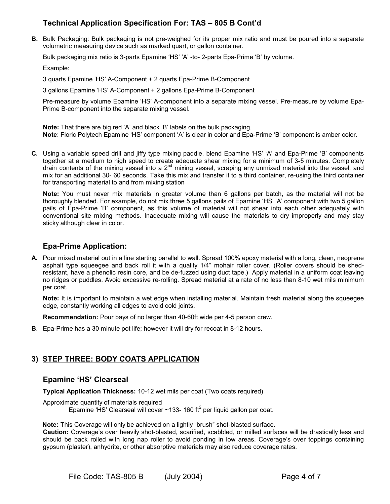**B.** Bulk Packaging: Bulk packaging is not pre-weighed for its proper mix ratio and must be poured into a separate volumetric measuring device such as marked quart, or gallon container.

Bulk packaging mix ratio is 3-parts Epamine 'HS' 'A' -to- 2-parts Epa-Prime 'B' by volume.

Example:

3 quarts Epamine 'HS' A-Component + 2 quarts Epa-Prime B-Component

3 gallons Epamine 'HS' A-Component + 2 gallons Epa-Prime B-Component

Pre-measure by volume Epamine 'HS' A-component into a separate mixing vessel. Pre-measure by volume Epa-Prime B-component into the separate mixing vessel.

**Note:** That there are big red 'A' and black 'B' labels on the bulk packaging. **Note**: Floric Polytech Epamine 'HS' component 'A' is clear in color and Epa-Prime 'B' component is amber color.

**C.** Using a variable speed drill and jiffy type mixing paddle, blend Epamine 'HS' 'A' and Epa-Prime 'B' components together at a medium to high speed to create adequate shear mixing for a minimum of 3-5 minutes. Completely drain contents of the mixing vessel into a 2<sup>nd</sup> mixing vessel, scraping any unmixed material into the vessel, and mix for an additional 30- 60 seconds. Take this mix and transfer it to a third container, re-using the third container for transporting material to and from mixing station

**Note:** You must never mix materials in greater volume than 6 gallons per batch, as the material will not be thoroughly blended. For example, do not mix three 5 gallons pails of Epamine 'HS' 'A' component with two 5 gallon pails of Epa-Prime 'B' component, as this volume of material will not shear into each other adequately with conventional site mixing methods. Inadequate mixing will cause the materials to dry improperly and may stay sticky although clear in color.

#### **Epa-Prime Application:**

**A.** Pour mixed material out in a line starting parallel to wall. Spread 100% epoxy material with a long, clean, neoprene asphalt type squeegee and back roll it with a quality 1/4" mohair roller cover. (Roller covers should be shedresistant, have a phenolic resin core, and be de-fuzzed using duct tape.) Apply material in a uniform coat leaving no ridges or puddles. Avoid excessive re-rolling. Spread material at a rate of no less than 8-10 wet mils minimum per coat.

**Note:** It is important to maintain a wet edge when installing material. Maintain fresh material along the squeegee edge, constantly working all edges to avoid cold joints.

**Recommendation:** Pour bays of no larger than 40-60ft wide per 4-5 person crew.

**B**. Epa-Prime has a 30 minute pot life; however it will dry for recoat in 8-12 hours.

#### **3) STEP THREE: BODY COATS APPLICATION**

#### **Epamine 'HS' Clearseal**

**Typical Application Thickness:** 10-12 wet mils per coat (Two coats required)

Approximate quantity of materials required Epamine 'HS' Clearseal will cover  $\sim$ 133- 160 ft<sup>2</sup> per liquid gallon per coat.

**Note:** This Coverage will only be achieved on a lightly "brush" shot-blasted surface.

**Caution:** Coverage's over heavily shot-blasted, scarified, scabbled, or milled surfaces will be drastically less and should be back rolled with long nap roller to avoid ponding in low areas. Coverage's over toppings containing gypsum (plaster), anhydrite, or other absorptive materials may also reduce coverage rates.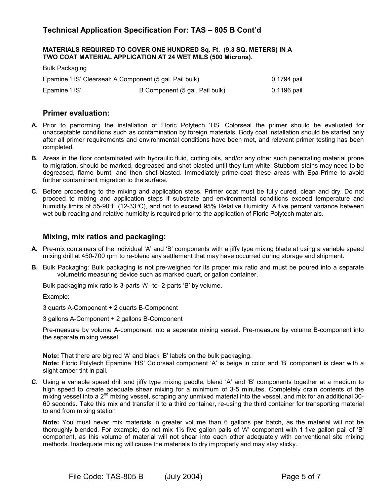#### **MATERIALS REQUIRED TO COVER ONE HUNDRED Sq. Ft. (9,3 SQ. METERS) IN A TWO COAT MATERIAL APPLICATION AT 24 WET MILS (500 Microns).**

| <b>Bulk Packaging</b>                                  |                                |             |
|--------------------------------------------------------|--------------------------------|-------------|
| Epamine 'HS' Clearseal: A Component (5 gal. Pail bulk) | 0.1794 pail                    |             |
| Epamine 'HS'                                           | B Component (5 gal. Pail bulk) | 0.1196 pail |

#### **Primer evaluation:**

- **A.** Prior to performing the installation of Floric Polytech 'HS' Colorseal the primer should be evaluated for unacceptable conditions such as contamination by foreign materials. Body coat installation should be started only after all primer requirements and environmental conditions have been met, and relevant primer testing has been completed.
- **B.** Areas in the floor contaminated with hydraulic fluid, cutting oils, and/or any other such penetrating material prone to migration, should be marked, degreased and shot-blasted until they turn white. Stubborn stains may need to be degreased, flame burnt, and then shot-blasted. Immediately prime-coat these areas with Epa-Prime to avoid further contaminant migration to the surface.
- **C.** Before proceeding to the mixing and application steps, Primer coat must be fully cured, clean and dry. Do not proceed to mixing and application steps if substrate and environmental conditions exceed temperature and humidity limits of 55-90°F (12-33°C), and not to exceed 95% Relative Humidity. A five percent variance between wet bulb reading and relative humidity is required prior to the application of Floric Polytech materials.

#### **Mixing, mix ratios and packaging:**

- **A.** Pre-mix containers of the individual 'A' and 'B' components with a jiffy type mixing blade at using a variable speed mixing drill at 450-700 rpm to re-blend any settlement that may have occurred during storage and shipment.
- **B.** Bulk Packaging: Bulk packaging is not pre-weighed for its proper mix ratio and must be poured into a separate volumetric measuring device such as marked quart, or gallon container.

Bulk packaging mix ratio is 3-parts 'A' -to- 2-parts 'B' by volume.

Example:

3 quarts A-Component + 2 quarts B-Component

3 gallons A-Component + 2 gallons B-Component

Pre-measure by volume A-component into a separate mixing vessel. Pre-measure by volume B-component into the separate mixing vessel.

**Note:** That there are big red 'A' and black 'B' labels on the bulk packaging. **Note:** Floric Polytech Epamine 'HS' Colorseal component 'A' is beige in color and 'B' component is clear with a slight amber tint in pail.

**C.** Using a variable speed drill and jiffy type mixing paddle, blend 'A' and 'B' components together at a medium to high speed to create adequate shear mixing for a minimum of 3-5 minutes. Completely drain contents of the mixing vessel into a 2<sup>nd</sup> mixing vessel, scraping any unmixed material into the vessel, and mix for an additional 30-60 seconds. Take this mix and transfer it to a third container, re-using the third container for transporting material to and from mixing station

**Note:** You must never mix materials in greater volume than 6 gallons per batch, as the material will not be thoroughly blended. For example, do not mix 1½ five gallon pails of 'A" component with 1 five gallon pail of 'B' component, as this volume of material will not shear into each other adequately with conventional site mixing methods. Inadequate mixing will cause the materials to dry improperly and may stay sticky.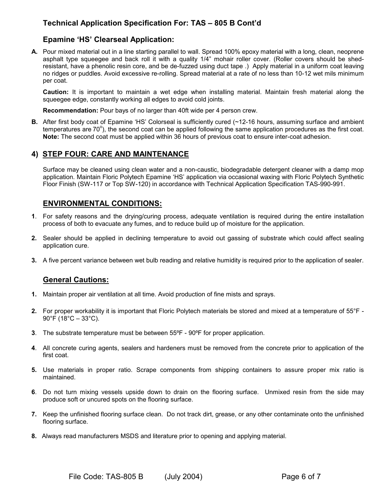#### **Epamine 'HS' Clearseal Application:**

**A.** Pour mixed material out in a line starting parallel to wall. Spread 100% epoxy material with a long, clean, neoprene asphalt type squeegee and back roll it with a quality 1/4" mohair roller cover. (Roller covers should be shedresistant, have a phenolic resin core, and be de-fuzzed using duct tape .) Apply material in a uniform coat leaving no ridges or puddles. Avoid excessive re-rolling. Spread material at a rate of no less than 10-12 wet mils minimum per coat.

**Caution:** It is important to maintain a wet edge when installing material. Maintain fresh material along the squeegee edge, constantly working all edges to avoid cold joints.

**Recommendation:** Pour bays of no larger than 40ft wide per 4 person crew.

**B.** After first body coat of Epamine 'HS' Colorseal is sufficiently cured (~12-16 hours, assuming surface and ambient temperatures are 70°), the second coat can be applied following the same application procedures as the first coat. **Note:** The second coat must be applied within 36 hours of previous coat to ensure inter-coat adhesion.

### **4) STEP FOUR: CARE AND MAINTENANCE**

Surface may be cleaned using clean water and a non-caustic, biodegradable detergent cleaner with a damp mop application. Maintain Floric Polytech Epamine 'HS' application via occasional waxing with Floric Polytech Synthetic Floor Finish (SW-117 or Top SW-120) in accordance with Technical Application Specification TAS-990-991.

#### **ENVIRONMENTAL CONDITIONS:**

- **1**. For safety reasons and the drying/curing process, adequate ventilation is required during the entire installation process of both to evacuate any fumes, and to reduce build up of moisture for the application.
- **2.** Sealer should be applied in declining temperature to avoid out gassing of substrate which could affect sealing application cure.
- **3.** A five percent variance between wet bulb reading and relative humidity is required prior to the application of sealer.

#### **General Cautions:**

- **1.** Maintain proper air ventilation at all time. Avoid production of fine mists and sprays.
- **2.** For proper workability it is important that Floric Polytech materials be stored and mixed at a temperature of 55°F  $90^{\circ}$ F (18 $^{\circ}$ C – 33 $^{\circ}$ C).
- **3**. The substrate temperature must be between 55ºF 90ºF for proper application.
- **4**. All concrete curing agents, sealers and hardeners must be removed from the concrete prior to application of the first coat.
- **5.** Use materials in proper ratio. Scrape components from shipping containers to assure proper mix ratio is maintained.
- **6**. Do not turn mixing vessels upside down to drain on the flooring surface. Unmixed resin from the side may produce soft or uncured spots on the flooring surface.
- **7.** Keep the unfinished flooring surface clean. Do not track dirt, grease, or any other contaminate onto the unfinished flooring surface.
- **8.** Always read manufacturers MSDS and literature prior to opening and applying material.